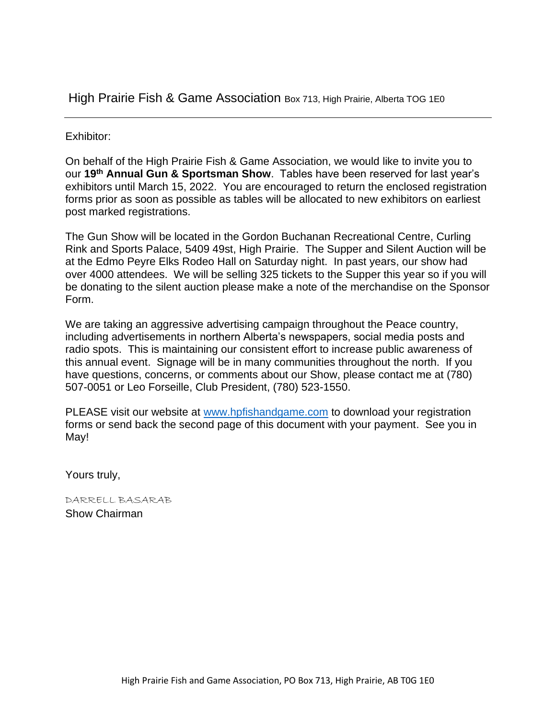## High Prairie Fish & Game Association Box 713, High Prairie, Alberta TOG 1E0

Exhibitor:

On behalf of the High Prairie Fish & Game Association, we would like to invite you to our **19th Annual Gun & Sportsman Show**. Tables have been reserved for last year's exhibitors until March 15, 2022. You are encouraged to return the enclosed registration forms prior as soon as possible as tables will be allocated to new exhibitors on earliest post marked registrations.

The Gun Show will be located in the Gordon Buchanan Recreational Centre, Curling Rink and Sports Palace, 5409 49st, High Prairie. The Supper and Silent Auction will be at the Edmo Peyre Elks Rodeo Hall on Saturday night. In past years, our show had over 4000 attendees. We will be selling 325 tickets to the Supper this year so if you will be donating to the silent auction please make a note of the merchandise on the Sponsor Form.

We are taking an aggressive advertising campaign throughout the Peace country, including advertisements in northern Alberta's newspapers, social media posts and radio spots. This is maintaining our consistent effort to increase public awareness of this annual event. Signage will be in many communities throughout the north. If you have questions, concerns, or comments about our Show, please contact me at (780) 507-0051 or Leo Forseille, Club President, (780) 523-1550.

PLEASE visit our website at [www.hpfishandgame.com](http://www.hpfishandgame.com/) to download your registration forms or send back the second page of this document with your payment. See you in May!

Yours truly,

DARRELL BASARAB Show Chairman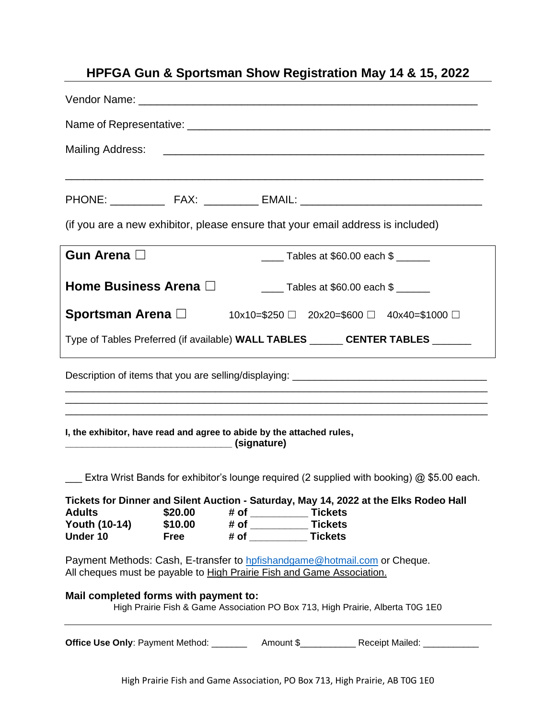|                                       |             | HPFGA Gun & Sportsman Show Registration May 14 & 15, 2022                                                                                                  |
|---------------------------------------|-------------|------------------------------------------------------------------------------------------------------------------------------------------------------------|
|                                       |             |                                                                                                                                                            |
|                                       |             |                                                                                                                                                            |
| Mailing Address:                      |             |                                                                                                                                                            |
|                                       |             |                                                                                                                                                            |
|                                       |             | (if you are a new exhibitor, please ensure that your email address is included)                                                                            |
| Gun Arena $\square$                   |             | _____ Tables at \$60.00 each \$ ______                                                                                                                     |
| Home Business Arena $\Box$            |             | $\frac{1}{2}$ Tables at \$60.00 each \$                                                                                                                    |
|                                       |             | <b>Sportsman Arena</b> $\Box$ 10x10=\$250 $\Box$ 20x20=\$600 $\Box$ 40x40=\$1000 $\Box$                                                                    |
|                                       |             | Type of Tables Preferred (if available) WALL TABLES ______ CENTER TABLES _______                                                                           |
|                                       |             | Description of items that you are selling/displaying: __________________________                                                                           |
|                                       |             | I, the exhibitor, have read and agree to abide by the attached rules,                                                                                      |
|                                       |             | Extra Wrist Bands for exhibitor's lounge required (2 supplied with booking) @ \$5.00 each.                                                                 |
| <b>Adults</b>                         | \$20.00     | Tickets for Dinner and Silent Auction - Saturday, May 14, 2022 at the Elks Rodeo Hall                                                                      |
| Youth (10-14)<br>Under 10             | <b>Free</b> | $$10.00$ # of Tickets                                                                                                                                      |
|                                       |             | Payment Methods: Cash, E-transfer to <b>hpfishandgame@hotmail.com</b> or Cheque.<br>All cheques must be payable to High Prairie Fish and Game Association. |
| Mail completed forms with payment to: |             | High Prairie Fish & Game Association PO Box 713, High Prairie, Alberta T0G 1E0                                                                             |
|                                       |             |                                                                                                                                                            |

High Prairie Fish and Game Association, PO Box 713, High Prairie, AB T0G 1E0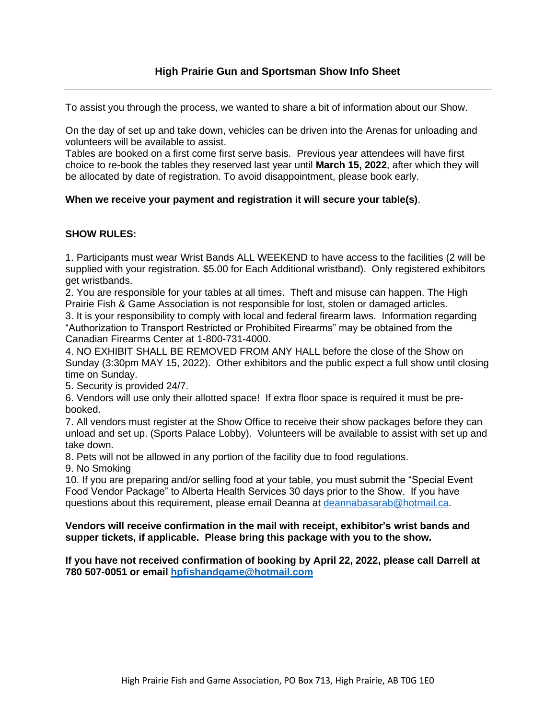To assist you through the process, we wanted to share a bit of information about our Show.

On the day of set up and take down, vehicles can be driven into the Arenas for unloading and volunteers will be available to assist.

Tables are booked on a first come first serve basis. Previous year attendees will have first choice to re-book the tables they reserved last year until **March 15, 2022**, after which they will be allocated by date of registration. To avoid disappointment, please book early.

#### **When we receive your payment and registration it will secure your table(s)**.

#### **SHOW RULES:**

1. Participants must wear Wrist Bands ALL WEEKEND to have access to the facilities (2 will be supplied with your registration. \$5.00 for Each Additional wristband). Only registered exhibitors get wristbands.

2. You are responsible for your tables at all times. Theft and misuse can happen. The High Prairie Fish & Game Association is not responsible for lost, stolen or damaged articles.

3. It is your responsibility to comply with local and federal firearm laws. Information regarding "Authorization to Transport Restricted or Prohibited Firearms" may be obtained from the Canadian Firearms Center at 1-800-731-4000.

4. NO EXHIBIT SHALL BE REMOVED FROM ANY HALL before the close of the Show on Sunday (3:30pm MAY 15, 2022). Other exhibitors and the public expect a full show until closing time on Sunday.

5. Security is provided 24/7.

6. Vendors will use only their allotted space! If extra floor space is required it must be prebooked.

7. All vendors must register at the Show Office to receive their show packages before they can unload and set up. (Sports Palace Lobby). Volunteers will be available to assist with set up and take down.

8. Pets will not be allowed in any portion of the facility due to food regulations.

9. No Smoking

10. If you are preparing and/or selling food at your table, you must submit the "Special Event Food Vendor Package" to Alberta Health Services 30 days prior to the Show. If you have questions about this requirement, please email Deanna at [deannabasarab@hotmail.ca.](mailto:deannabasarab@hotmail.ca)

#### **Vendors will receive confirmation in the mail with receipt, exhibitor's wrist bands and supper tickets, if applicable. Please bring this package with you to the show.**

**If you have not received confirmation of booking by April 22, 2022, please call Darrell at 780 507-0051 or email [hpfishandgame@hotmail.com](mailto:hpfishandgame@hotmail.com)**